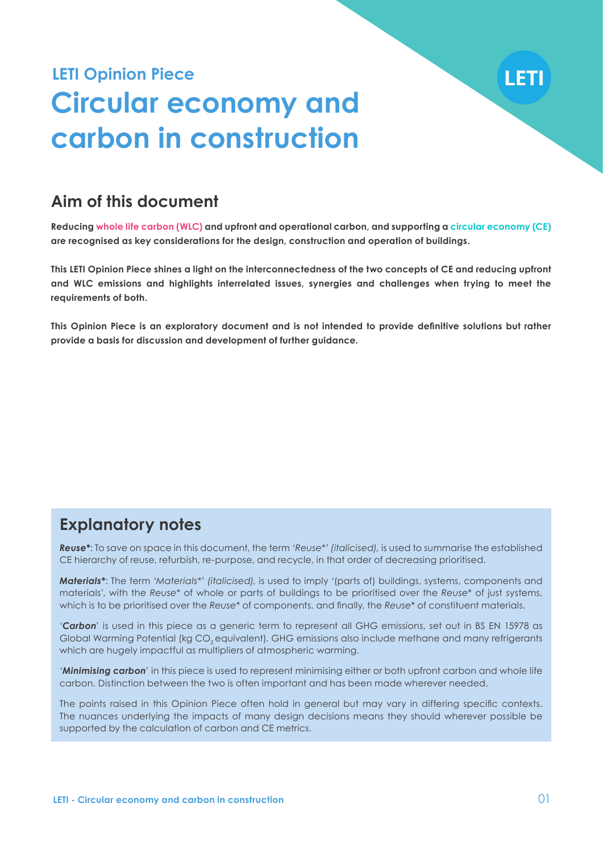## **Circular economy and carbon in construction LETI Opinion Piece**

## **Aim of this document**

**Reducing whole life carbon (WLC) and upfront and operational carbon, and supporting a circular economy (CE) are recognised as key considerations for the design, construction and operation of buildings.** 

**This LETI Opinion Piece shines a light on the interconnectedness of the two concepts of CE and reducing upfront and WLC emissions and highlights interrelated issues, synergies and challenges when trying to meet the requirements of both.** 

**This Opinion Piece is an exploratory document and is not intended to provide definitive solutions but rather provide a basis for discussion and development of further guidance.** 

## **Explanatory notes**

*Reuse\**: To save on space in this document, the term *'Reuse\*' (italicised),* is used to summarise the established CE hierarchy of reuse, refurbish, re-purpose, and recycle, in that order of decreasing prioritised.

*Materials\**: The term *'Materials\*' (italicised),* is used to imply '(parts of) buildings, systems, components and materials', with the *Reuse\** of whole or parts of buildings to be prioritised over the *Reuse\** of just systems, which is to be prioritised over the *Reuse\** of components, and finally, the *Reuse\** of constituent materials.

'*Carbon*' is used in this piece as a generic term to represent all GHG emissions, set out in BS EN 15978 as Global Warming Potential (kg CO<sub>2</sub> equivalent). GHG emissions also include methane and many refrigerants which are hugely impactful as multipliers of atmospheric warming.

'*Minimising carbon*' in this piece is used to represent minimising either or both upfront carbon and whole life carbon. Distinction between the two is often important and has been made wherever needed.

The points raised in this Opinion Piece often hold in general but may vary in differing specific contexts. The nuances underlying the impacts of many design decisions means they should wherever possible be supported by the calculation of carbon and CE metrics.

LETI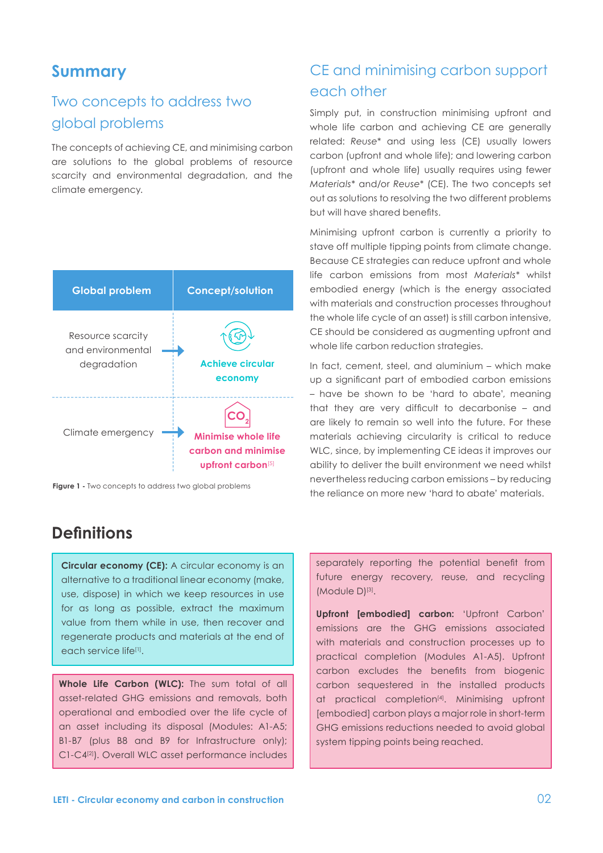### **Summary**

## Two concepts to address two global problems

The concepts of achieving CE, and minimising carbon are solutions to the global problems of resource scarcity and environmental degradation, and the climate emergency.



**Figure 1 -** Two concepts to address two global problems

## CE and minimising carbon support each other

Simply put, in construction minimising upfront and whole life carbon and achieving CE are generally related: *Reuse\** and using less (CE) usually lowers carbon (upfront and whole life); and lowering carbon (upfront and whole life) usually requires using fewer *Materials\** and/or *Reuse\** (CE). The two concepts set out as solutions to resolving the two different problems but will have shared benefits.

Minimising upfront carbon is currently a priority to stave off multiple tipping points from climate change. Because CE strategies can reduce upfront and whole life carbon emissions from most *Materials\** whilst embodied energy (which is the energy associated with materials and construction processes throughout the whole life cycle of an asset) is still carbon intensive, CE should be considered as augmenting upfront and whole life carbon reduction strategies.

In fact, cement, steel, and aluminium – which make up a significant part of embodied carbon emissions – have be shown to be 'hard to abate', meaning that they are very difficult to decarbonise – and are likely to remain so well into the future. For these materials achieving circularity is critical to reduce WLC, since, by implementing CE ideas it improves our ability to deliver the built environment we need whilst nevertheless reducing carbon emissions – by reducing the reliance on more new 'hard to abate' materials.

### **Definitions**

**Circular economy (CE):** A circular economy is an alternative to a traditional linear economy (make, use, dispose) in which we keep resources in use for as long as possible, extract the maximum value from them while in use, then recover and regenerate products and materials at the end of each service life[1].

**Whole Life Carbon (WLC):** The sum total of all asset-related GHG emissions and removals, both operational and embodied over the life cycle of an asset including its disposal (Modules: A1-A5; B1-B7 (plus B8 and B9 for Infrastructure only); C1-C4[2]). Overall WLC asset performance includes

separately reporting the potential benefit from future energy recovery, reuse, and recycling (Module D)<sup>[3]</sup>.

**Upfront [embodied] carbon:** 'Upfront Carbon' emissions are the GHG emissions associated with materials and construction processes up to practical completion (Modules A1-A5). Upfront carbon excludes the benefits from biogenic carbon sequestered in the installed products at practical completion<sup>[4]</sup>. Minimising upfront [embodied] carbon plays a major role in short-term GHG emissions reductions needed to avoid global system tipping points being reached.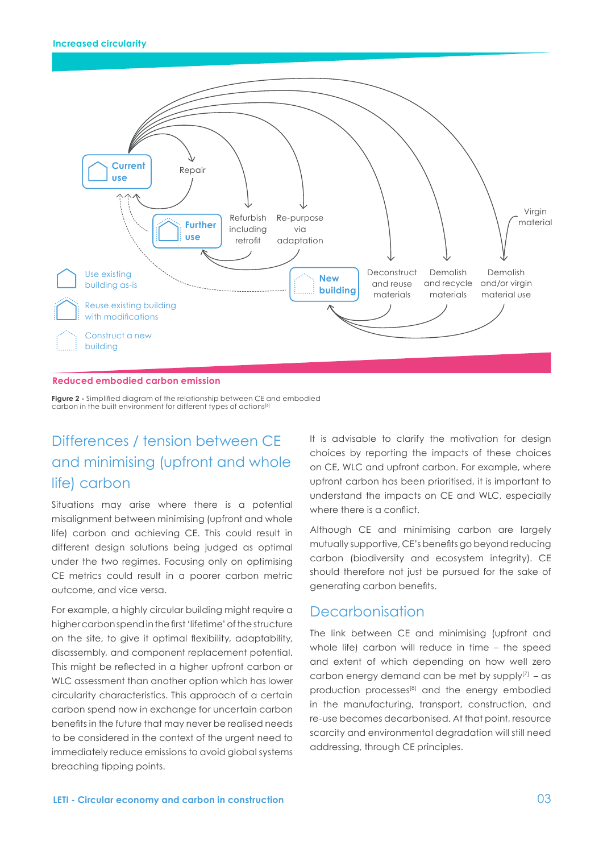

#### **Reduced embodied carbon emission**

**Figure 2 -** Simplified diagram of the relationship between CE and embodied carbon in the built environment for different types of actions<sup>[6]</sup>

## Differences / tension between CE and minimising (upfront and whole life) carbon

Situations may arise where there is a potential misalignment between minimising (upfront and whole life) carbon and achieving CE. This could result in different design solutions being judged as optimal under the two regimes. Focusing only on optimising CE metrics could result in a poorer carbon metric outcome, and vice versa.

For example, a highly circular building might require a higher carbon spend in the first 'lifetime' of the structure on the site, to give it optimal flexibility, adaptability, disassembly, and component replacement potential. This might be reflected in a higher upfront carbon or WLC assessment than another option which has lower circularity characteristics. This approach of a certain carbon spend now in exchange for uncertain carbon benefits in the future that may never be realised needs to be considered in the context of the urgent need to immediately reduce emissions to avoid global systems breaching tipping points.

It is advisable to clarify the motivation for design choices by reporting the impacts of these choices on CE, WLC and upfront carbon. For example, where upfront carbon has been prioritised, it is important to understand the impacts on CE and WLC, especially where there is a conflict.

Although CE and minimising carbon are largely mutually supportive, CE's benefits go beyond reducing carbon (biodiversity and ecosystem integrity). CE should therefore not just be pursued for the sake of generating carbon benefits.

### Decarbonisation

The link between CE and minimising (upfront and whole life) carbon will reduce in time – the speed and extent of which depending on how well zero carbon energy demand can be met by supply $[7]$  – as production processes<sup>[8]</sup> and the energy embodied in the manufacturing, transport, construction, and re-use becomes decarbonised. At that point, resource scarcity and environmental degradation will still need addressing, through CE principles.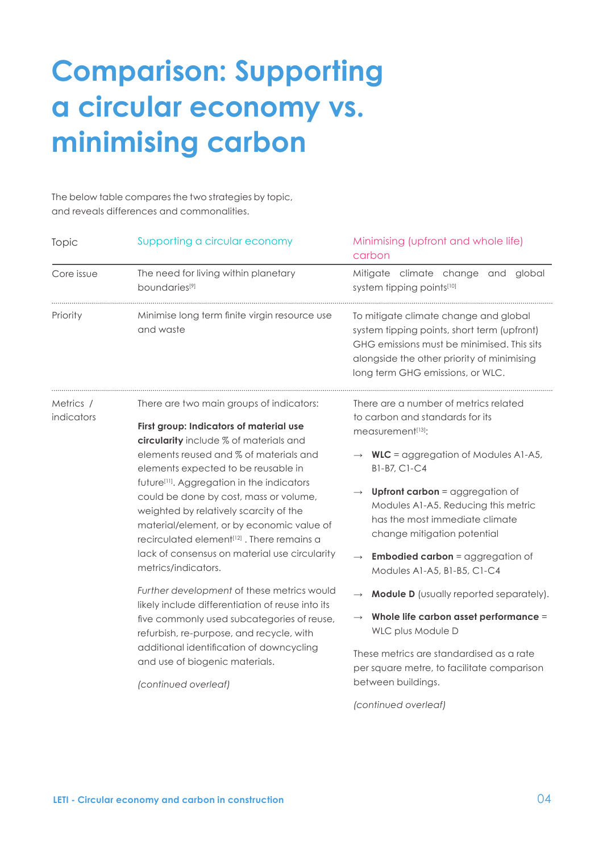## **Comparison: Supporting a circular economy vs. minimising carbon**

The below table compares the two strategies by topic, and reveals differences and commonalities.

| Topic                   | Supporting a circular economy                                                                                                                                                                                                                                                                                                                                                                                                                                                                                                               | Minimising (upfront and whole life)<br>carbon                                                                                                                                                                                                                                                                                                                                                                                            |
|-------------------------|---------------------------------------------------------------------------------------------------------------------------------------------------------------------------------------------------------------------------------------------------------------------------------------------------------------------------------------------------------------------------------------------------------------------------------------------------------------------------------------------------------------------------------------------|------------------------------------------------------------------------------------------------------------------------------------------------------------------------------------------------------------------------------------------------------------------------------------------------------------------------------------------------------------------------------------------------------------------------------------------|
| Core issue              | The need for living within planetary<br>boundaries <sup>[9]</sup>                                                                                                                                                                                                                                                                                                                                                                                                                                                                           | Mitigate climate change and global<br>system tipping points[10]                                                                                                                                                                                                                                                                                                                                                                          |
| Priority                | Minimise long term finite virgin resource use<br>and waste                                                                                                                                                                                                                                                                                                                                                                                                                                                                                  | To mitigate climate change and global<br>system tipping points, short term (upfront)<br>GHG emissions must be minimised. This sits<br>alongside the other priority of minimising<br>long term GHG emissions, or WLC.                                                                                                                                                                                                                     |
| Metrics /<br>indicators | There are two main groups of indicators:<br>First group: Indicators of material use<br>circularity include % of materials and<br>elements reused and % of materials and<br>elements expected to be reusable in<br>future <sup>[11]</sup> . Aggregation in the indicators<br>could be done by cost, mass or volume,<br>weighted by relatively scarcity of the<br>material/element, or by economic value of<br>recirculated element <sup>[12]</sup> . There remains a<br>lack of consensus on material use circularity<br>metrics/indicators. | There are a number of metrics related<br>to carbon and standards for its<br>measurement <sup>[13]</sup> :<br>$WLC =$ aggregation of Modules A1-A5,<br>B1-B7, C1-C4<br><b>Upfront carbon</b> = aggregation of<br>$\longrightarrow$<br>Modules A1-A5. Reducing this metric<br>has the most immediate climate<br>change mitigation potential<br><b>Embodied carbon</b> = aggregation of<br>$\longrightarrow$<br>Modules A1-A5, B1-B5, C1-C4 |
|                         | Further development of these metrics would<br>likely include differentiation of reuse into its<br>five commonly used subcategories of reuse,<br>refurbish, re-purpose, and recycle, with<br>additional identification of downcycling<br>and use of biogenic materials.<br>(continued overleaf)                                                                                                                                                                                                                                              | <b>Module D</b> (usually reported separately).<br>Whole life carbon asset performance =<br>$\longrightarrow$<br>WLC plus Module D<br>These metrics are standardised as a rate<br>per square metre, to facilitate comparison<br>between buildings.                                                                                                                                                                                        |
|                         |                                                                                                                                                                                                                                                                                                                                                                                                                                                                                                                                             | (continued overleaf)                                                                                                                                                                                                                                                                                                                                                                                                                     |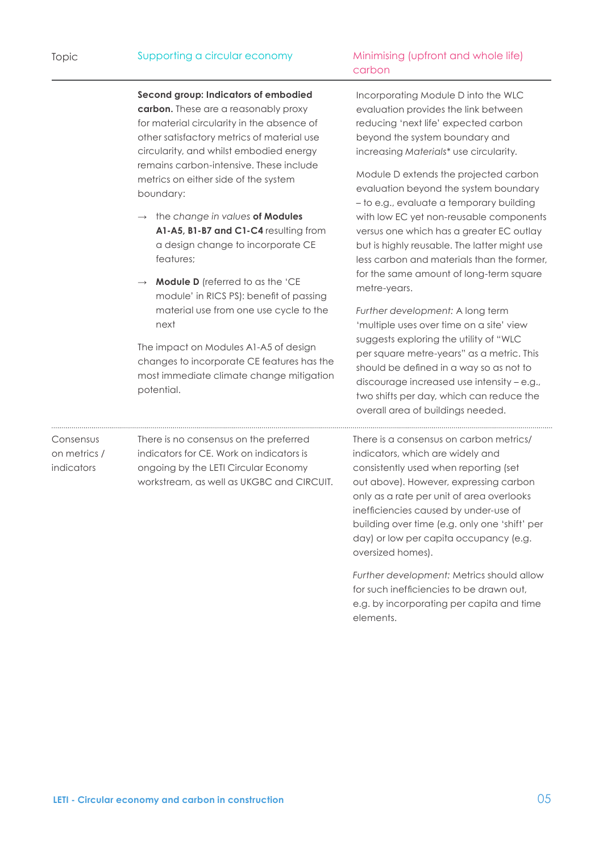**Second group: Indicators of embodied carbon.** These are a reasonably proxy for material circularity in the absence of other satisfactory metrics of material use circularity, and whilst embodied energy remains carbon-intensive. These include metrics on either side of the system boundary:

- **→** the *change in values* **of Modules A1-A5, B1-B7 and C1-C4** resulting from a design change to incorporate CE features;
- **→ Module D** (referred to as the 'CE module' in RICS PS): benefit of passing material use from one use cycle to the next

The impact on Modules A1-A5 of design changes to incorporate CE features has the most immediate climate change mitigation potential.

### Minimising (upfront and whole life) carbon

Incorporating Module D into the WLC evaluation provides the link between reducing 'next life' expected carbon beyond the system boundary and increasing *Materials\** use circularity.

Module D extends the projected carbon evaluation beyond the system boundary – to e.g., evaluate a temporary building with low EC yet non-reusable components versus one which has a greater EC outlay but is highly reusable. The latter might use less carbon and materials than the former, for the same amount of long-term square metre-years.

*Further development:* A long term 'multiple uses over time on a site' view suggests exploring the utility of "WLC per square metre-years" as a metric. This should be defined in a way so as not to discourage increased use intensity – e.g., two shifts per day, which can reduce the overall area of buildings needed.

There is a consensus on carbon metrics/ indicators, which are widely and consistently used when reporting (set out above). However, expressing carbon only as a rate per unit of area overlooks inefficiencies caused by under-use of building over time (e.g. only one 'shift' per day) or low per capita occupancy (e.g. oversized homes).

*Further development:* Metrics should allow for such inefficiencies to be drawn out, e.g. by incorporating per capita and time elements.

There is no consensus on the preferred indicators for CE. Work on indicators is ongoing by the LETI Circular Economy workstream, as well as UKGBC and CIRCUIT.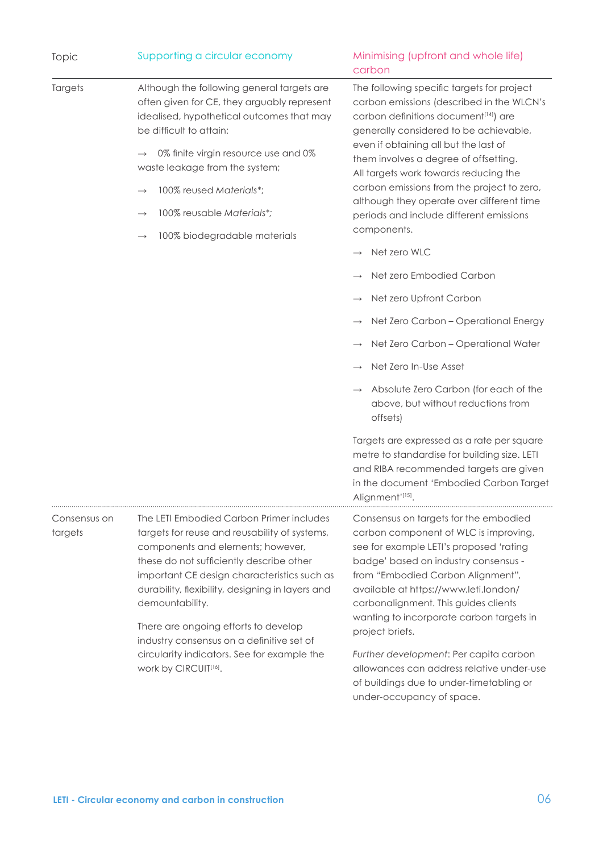| Topic                   | Supporting a circular economy                                                                                                                                                                                                                                                                                                                                                                                                                                | Minimising (upfront and whole life)<br>carbon                                                                                                                                                                                                                                                                                                                                                                                                                                                                                                                                                                                                                                                                                                                                                                                                                                                                                       |
|-------------------------|--------------------------------------------------------------------------------------------------------------------------------------------------------------------------------------------------------------------------------------------------------------------------------------------------------------------------------------------------------------------------------------------------------------------------------------------------------------|-------------------------------------------------------------------------------------------------------------------------------------------------------------------------------------------------------------------------------------------------------------------------------------------------------------------------------------------------------------------------------------------------------------------------------------------------------------------------------------------------------------------------------------------------------------------------------------------------------------------------------------------------------------------------------------------------------------------------------------------------------------------------------------------------------------------------------------------------------------------------------------------------------------------------------------|
| Targets                 | Although the following general targets are<br>often given for CE, they arguably represent<br>idealised, hypothetical outcomes that may<br>be difficult to attain:<br>0% finite virgin resource use and 0%<br>$\rightarrow$<br>waste leakage from the system;<br>100% reused Materials*;<br>100% reusable Materials*;<br>100% biodegradable materials                                                                                                         | The following specific targets for project<br>carbon emissions (described in the WLCN's<br>carbon definitions document <sup>[14]</sup> ) are<br>generally considered to be achievable,<br>even if obtaining all but the last of<br>them involves a degree of offsetting.<br>All targets work towards reducing the<br>carbon emissions from the project to zero,<br>although they operate over different time<br>periods and include different emissions<br>components.<br>Net zero WLC<br>Net zero Embodied Carbon<br>Net zero Upfront Carbon<br>Net Zero Carbon - Operational Energy<br>Net Zero Carbon - Operational Water<br>Net Zero In-Use Asset<br>Absolute Zero Carbon (for each of the<br>above, but without reductions from<br>offsets)<br>Targets are expressed as a rate per square<br>metre to standardise for building size. LETI<br>and RIBA recommended targets are given<br>in the document 'Embodied Carbon Target |
|                         |                                                                                                                                                                                                                                                                                                                                                                                                                                                              | Alignment'[15].                                                                                                                                                                                                                                                                                                                                                                                                                                                                                                                                                                                                                                                                                                                                                                                                                                                                                                                     |
| Consensus on<br>targets | The LETI Embodied Carbon Primer includes<br>targets for reuse and reusability of systems,<br>components and elements; however,<br>these do not sufficiently describe other<br>important CE design characteristics such as<br>durability, flexibility, designing in layers and<br>demountability.<br>There are ongoing efforts to develop<br>industry consensus on a definitive set of<br>circularity indicators. See for example the<br>work by CIRCUIT[16]. | Consensus on targets for the embodied<br>carbon component of WLC is improving,<br>see for example LETI's proposed 'rating<br>badge' based on industry consensus -<br>from "Embodied Carbon Alignment",<br>available at https://www.leti.london/<br>carbonalignment. This guides clients<br>wanting to incorporate carbon targets in<br>project briefs.<br>Further development: Per capita carbon<br>allowances can address relative under-use<br>of buildings due to under-timetabling or<br>under-occupancy of space.                                                                                                                                                                                                                                                                                                                                                                                                              |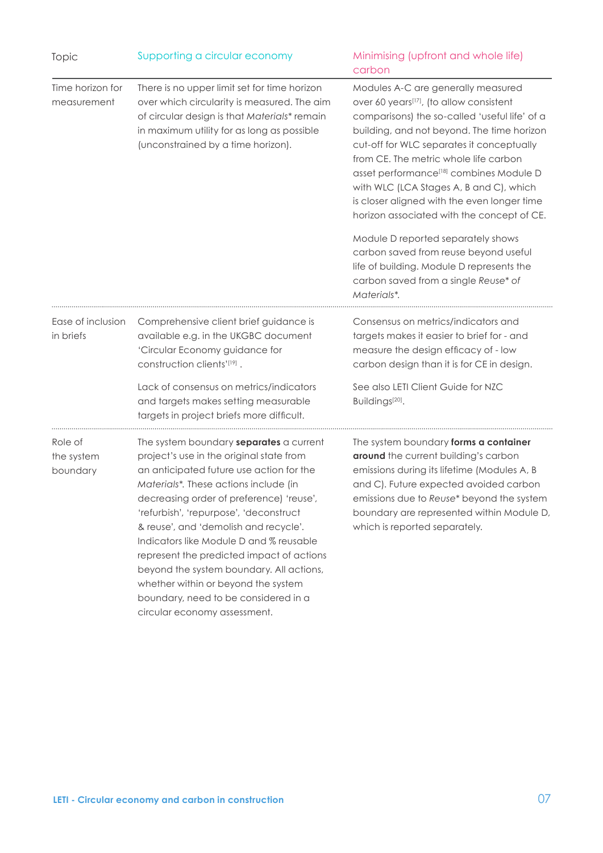| Topic                             | Supporting a circular economy                                                                                                                                                                                                                                                                                                                                                                                                                                                                                                                              | Minimising (upfront and whole life)<br>carbon                                                                                                                                                                                                                                                                                                                                                                                                                     |
|-----------------------------------|------------------------------------------------------------------------------------------------------------------------------------------------------------------------------------------------------------------------------------------------------------------------------------------------------------------------------------------------------------------------------------------------------------------------------------------------------------------------------------------------------------------------------------------------------------|-------------------------------------------------------------------------------------------------------------------------------------------------------------------------------------------------------------------------------------------------------------------------------------------------------------------------------------------------------------------------------------------------------------------------------------------------------------------|
| Time horizon for<br>measurement   | There is no upper limit set for time horizon<br>over which circularity is measured. The aim<br>of circular design is that Materials* remain<br>in maximum utility for as long as possible<br>(unconstrained by a time horizon).                                                                                                                                                                                                                                                                                                                            | Modules A-C are generally measured<br>over 60 years[17], (to allow consistent<br>comparisons) the so-called 'useful life' of a<br>building, and not beyond. The time horizon<br>cut-off for WLC separates it conceptually<br>from CE. The metric whole life carbon<br>asset performance <sup>[18]</sup> combines Module D<br>with WLC (LCA Stages A, B and C), which<br>is closer aligned with the even longer time<br>horizon associated with the concept of CE. |
|                                   |                                                                                                                                                                                                                                                                                                                                                                                                                                                                                                                                                            | Module D reported separately shows<br>carbon saved from reuse beyond useful<br>life of building. Module D represents the<br>carbon saved from a single Reuse* of<br>Materials*.                                                                                                                                                                                                                                                                                   |
| Ease of inclusion<br>in briefs    | Comprehensive client brief guidance is<br>available e.g. in the UKGBC document<br>'Circular Economy guidance for<br>construction clients'[19].                                                                                                                                                                                                                                                                                                                                                                                                             | Consensus on metrics/indicators and<br>targets makes it easier to brief for - and<br>measure the design efficacy of - low<br>carbon design than it is for CE in design.                                                                                                                                                                                                                                                                                           |
|                                   | Lack of consensus on metrics/indicators<br>and targets makes setting measurable<br>targets in project briefs more difficult.                                                                                                                                                                                                                                                                                                                                                                                                                               | See also LETI Client Guide for NZC<br>Buildings <sup>[20]</sup> .                                                                                                                                                                                                                                                                                                                                                                                                 |
| Role of<br>the system<br>boundary | The system boundary separates a current<br>project's use in the original state from<br>an anticipated future use action for the<br>Materials*. These actions include (in<br>decreasing order of preference) 'reuse',<br>'refurbish', 'repurpose', 'deconstruct<br>& reuse', and 'demolish and recycle'.<br>Indicators like Module D and % reusable<br>represent the predicted impact of actions<br>beyond the system boundary. All actions,<br>whether within or beyond the system<br>boundary, need to be considered in a<br>circular economy assessment. | The system boundary forms a container<br>around the current building's carbon<br>emissions during its lifetime (Modules A, B<br>and C). Future expected avoided carbon<br>emissions due to Reuse* beyond the system<br>boundary are represented within Module D,<br>which is reported separately.                                                                                                                                                                 |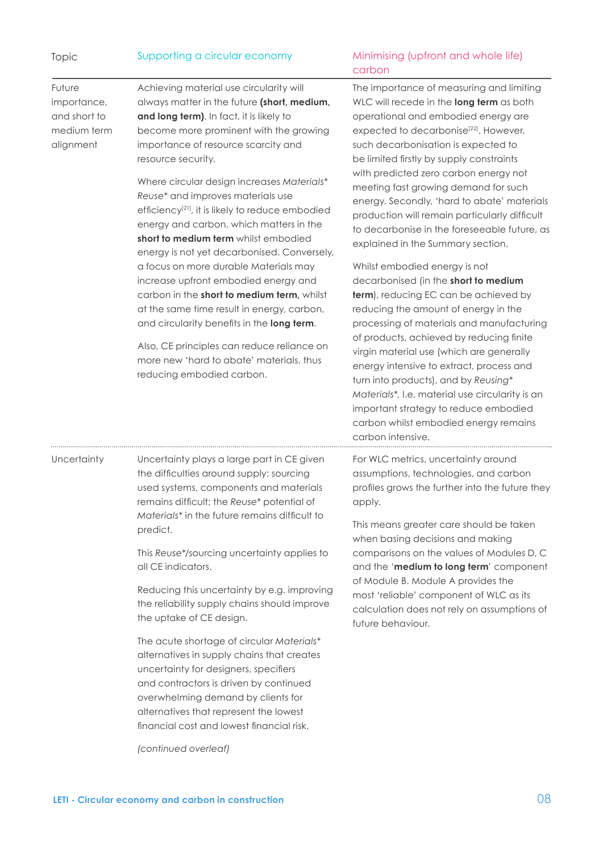| Topic                                                             | Supporting a circular economy                                                                                                                                                                                                                                                                                                                                                                                                                                                                                                                                                                                                                                                                                                                                                                                                                                                    | Minimising (upfront and whole life)<br>carbon                                                                                                                                                                                                                                                                                                                                                                                                                                                                                                                                                                                                                                                                                                                                                                                                                                                                                                                                                                                                                                           |
|-------------------------------------------------------------------|----------------------------------------------------------------------------------------------------------------------------------------------------------------------------------------------------------------------------------------------------------------------------------------------------------------------------------------------------------------------------------------------------------------------------------------------------------------------------------------------------------------------------------------------------------------------------------------------------------------------------------------------------------------------------------------------------------------------------------------------------------------------------------------------------------------------------------------------------------------------------------|-----------------------------------------------------------------------------------------------------------------------------------------------------------------------------------------------------------------------------------------------------------------------------------------------------------------------------------------------------------------------------------------------------------------------------------------------------------------------------------------------------------------------------------------------------------------------------------------------------------------------------------------------------------------------------------------------------------------------------------------------------------------------------------------------------------------------------------------------------------------------------------------------------------------------------------------------------------------------------------------------------------------------------------------------------------------------------------------|
| Future<br>importance,<br>and short to<br>medium term<br>alignment | Achieving material use circularity will<br>always matter in the future (short, medium,<br>and long term). In fact, it is likely to<br>become more prominent with the growing<br>importance of resource scarcity and<br>resource security.<br>Where circular design increases Materials*<br>Reuse* and improves materials use<br>efficiency <sup>[21]</sup> , it is likely to reduce embodied<br>energy and carbon, which matters in the<br>short to medium term whilst embodied<br>energy is not yet decarbonised. Conversely,<br>a focus on more durable Materials may<br>increase upfront embodied energy and<br>carbon in the short to medium term, whilst<br>at the same time result in energy, carbon,<br>and circularity benefits in the long term.<br>Also, CE principles can reduce reliance on<br>more new 'hard to abate' materials, thus<br>reducing embodied carbon. | The importance of measuring and limiting<br>WLC will recede in the long term as both<br>operational and embodied energy are<br>expected to decarbonise <sup>[22]</sup> . However,<br>such decarbonisation is expected to<br>be limited firstly by supply constraints<br>with predicted zero carbon energy not<br>meeting fast growing demand for such<br>energy. Secondly, 'hard to abate' materials<br>production will remain particularly difficult<br>to decarbonise in the foreseeable future, as<br>explained in the Summary section.<br>Whilst embodied energy is not<br>decarbonised (in the short to medium<br>term), reducing EC can be achieved by<br>reducing the amount of energy in the<br>processing of materials and manufacturing<br>of products, achieved by reducing finite<br>virgin material use (which are generally<br>energy intensive to extract, process and<br>turn into products), and by Reusing*<br>Materials*. I.e. material use circularity is an<br>important strategy to reduce embodied<br>carbon whilst embodied energy remains<br>carbon intensive. |
| Uncertainty                                                       | Uncertainty plays a large part in CE given<br>the difficulties around supply: sourcing<br>used systems, components and materials<br>remains difficult; the Reuse* potential of<br>Materials <sup>*</sup> in the future remains difficult to<br>predict.<br>This Reuse*/sourcing uncertainty applies to<br>all CE indicators.<br>Reducing this uncertainty by e.g. improving<br>the reliability supply chains should improve<br>the uptake of CE design.<br>The acute shortage of circular Materials*<br>alternatives in supply chains that creates<br>uncertainty for designers, specifiers<br>and contractors is driven by continued<br>overwhelming demand by clients for<br>alternatives that represent the lowest<br>financial cost and lowest financial risk.<br>(continued overleaf)                                                                                       | For WLC metrics, uncertainty around<br>assumptions, technologies, and carbon<br>profiles grows the further into the future they<br>apply.<br>This means greater care should be taken<br>when basing decisions and making<br>comparisons on the values of Modules D, C<br>and the 'medium to long term' component<br>of Module B. Module A provides the<br>most 'reliable' component of WLC as its<br>calculation does not rely on assumptions of<br>future behaviour.                                                                                                                                                                                                                                                                                                                                                                                                                                                                                                                                                                                                                   |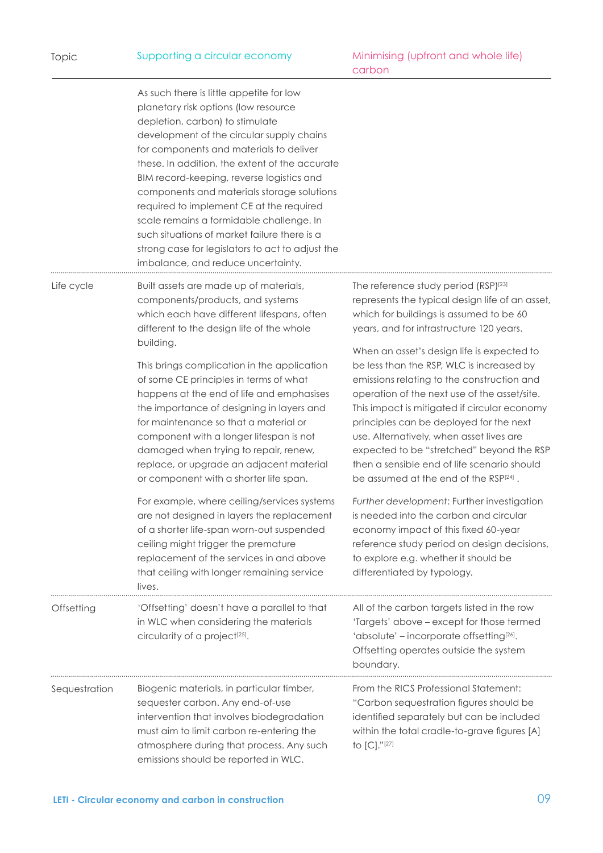|  | Supporting a circular economy |
|--|-------------------------------|
|  |                               |

|               | As such there is little appetite for low<br>planetary risk options (low resource<br>depletion, carbon) to stimulate<br>development of the circular supply chains<br>for components and materials to deliver<br>these. In addition, the extent of the accurate<br>BIM record-keeping, reverse logistics and<br>components and materials storage solutions<br>required to implement CE at the required<br>scale remains a formidable challenge. In<br>such situations of market failure there is a<br>strong case for legislators to act to adjust the<br>imbalance, and reduce uncertainty. |                                                                                                                                                                                                                                                                                                                                                                                                                                                                                                                                                           |
|---------------|--------------------------------------------------------------------------------------------------------------------------------------------------------------------------------------------------------------------------------------------------------------------------------------------------------------------------------------------------------------------------------------------------------------------------------------------------------------------------------------------------------------------------------------------------------------------------------------------|-----------------------------------------------------------------------------------------------------------------------------------------------------------------------------------------------------------------------------------------------------------------------------------------------------------------------------------------------------------------------------------------------------------------------------------------------------------------------------------------------------------------------------------------------------------|
| Life cycle    | Built assets are made up of materials,<br>components/products, and systems<br>which each have different lifespans, often<br>different to the design life of the whole                                                                                                                                                                                                                                                                                                                                                                                                                      | The reference study period (RSP) <sup>[23]</sup><br>represents the typical design life of an asset,<br>which for buildings is assumed to be 60<br>years, and for infrastructure 120 years.                                                                                                                                                                                                                                                                                                                                                                |
|               | building.<br>This brings complication in the application<br>of some CE principles in terms of what<br>happens at the end of life and emphasises<br>the importance of designing in layers and<br>for maintenance so that a material or<br>component with a longer lifespan is not<br>damaged when trying to repair, renew,<br>replace, or upgrade an adjacent material<br>or component with a shorter life span.<br>For example, where ceiling/services systems                                                                                                                             | When an asset's design life is expected to<br>be less than the RSP, WLC is increased by<br>emissions relating to the construction and<br>operation of the next use of the asset/site.<br>This impact is mitigated if circular economy<br>principles can be deployed for the next<br>use. Alternatively, when asset lives are<br>expected to be "stretched" beyond the RSP<br>then a sensible end of life scenario should<br>be assumed at the end of the RSP[24].<br>Further development: Further investigation<br>is needed into the carbon and circular |
|               | are not designed in layers the replacement<br>of a shorter life-span worn-out suspended<br>ceiling might trigger the premature<br>replacement of the services in and above<br>that ceiling with longer remaining service<br>lives.                                                                                                                                                                                                                                                                                                                                                         | economy impact of this fixed 60-year<br>reference study period on design decisions,<br>to explore e.g. whether it should be<br>differentiated by typology.                                                                                                                                                                                                                                                                                                                                                                                                |
| Offsetting    | 'Offsetting' doesn't have a parallel to that<br>in WLC when considering the materials<br>circularity of a project <sup>[25]</sup> .                                                                                                                                                                                                                                                                                                                                                                                                                                                        | All of the carbon targets listed in the row<br>'Targets' above - except for those termed<br>'absolute' - incorporate offsetting <sup>[26]</sup> .<br>Offsetting operates outside the system<br>boundary.                                                                                                                                                                                                                                                                                                                                                  |
| Sequestration | Biogenic materials, in particular timber,<br>sequester carbon. Any end-of-use<br>intervention that involves biodegradation<br>must aim to limit carbon re-entering the<br>atmosphere during that process. Any such<br>emissions should be reported in WLC.                                                                                                                                                                                                                                                                                                                                 | From the RICS Professional Statement:<br>"Carbon sequestration figures should be<br>identified separately but can be included<br>within the total cradle-to-grave figures [A]<br>to [C]."[27]                                                                                                                                                                                                                                                                                                                                                             |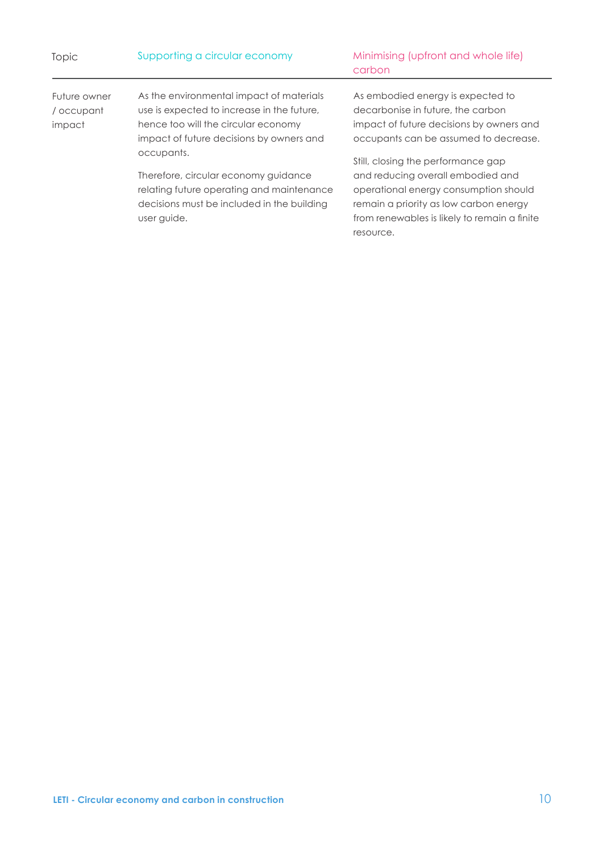| Topic                      | Supporting a circular economy                                                                                                                                | Minimising (upfront and whole life)<br>carbon                                                                                                                                                                           |
|----------------------------|--------------------------------------------------------------------------------------------------------------------------------------------------------------|-------------------------------------------------------------------------------------------------------------------------------------------------------------------------------------------------------------------------|
| Future owner<br>/ occupant | As the environmental impact of materials<br>use is expected to increase in the future,                                                                       | As embodied energy is expected to<br>decarbonise in future, the carbon                                                                                                                                                  |
| impact                     | hence too will the circular economy<br>impact of future decisions by owners and                                                                              | impact of future decisions by owners and<br>occupants can be assumed to decrease.                                                                                                                                       |
|                            | occupants.<br>Therefore, circular economy guidance<br>relating future operating and maintenance<br>decisions must be included in the building<br>user guide. | Still, closing the performance gap<br>and reducing overall embodied and<br>operational energy consumption should<br>remain a priority as low carbon energy<br>from renewables is likely to remain a finite<br>resource. |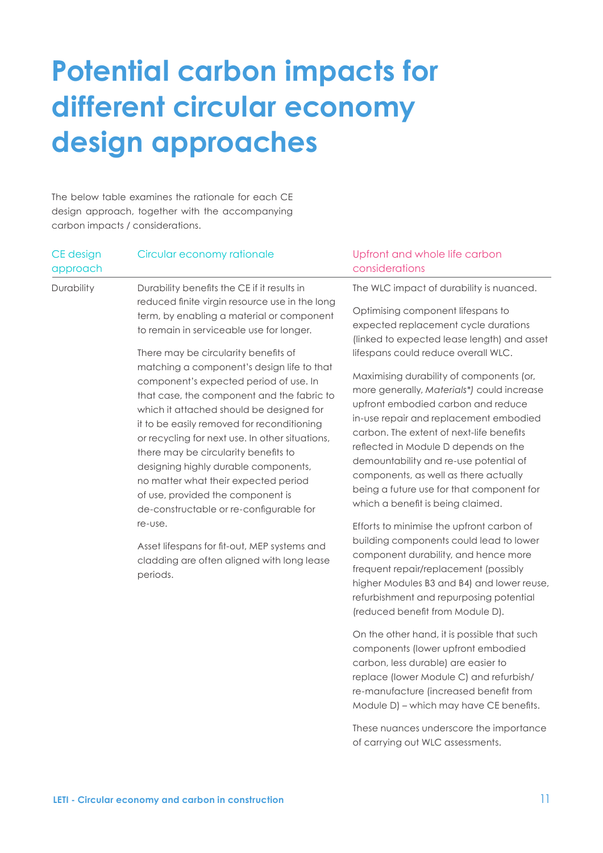## **Potential carbon impacts for different circular economy design approaches**

The below table examines the rationale for each CE design approach, together with the accompanying carbon impacts / considerations.

| CE design<br>approach | Circular economy rationale                                                                                                                                                                                                                                                                                                                                                                                                                                                                                                                                                                                                                | Upfront and whole life carbon<br>considerations                                                                                                                                                                                                                                                                                                                                                                                                                                                                                                              |
|-----------------------|-------------------------------------------------------------------------------------------------------------------------------------------------------------------------------------------------------------------------------------------------------------------------------------------------------------------------------------------------------------------------------------------------------------------------------------------------------------------------------------------------------------------------------------------------------------------------------------------------------------------------------------------|--------------------------------------------------------------------------------------------------------------------------------------------------------------------------------------------------------------------------------------------------------------------------------------------------------------------------------------------------------------------------------------------------------------------------------------------------------------------------------------------------------------------------------------------------------------|
| Durability            | Durability benefits the CE if it results in<br>reduced finite virgin resource use in the long<br>term, by enabling a material or component<br>to remain in serviceable use for longer.<br>There may be circularity benefits of<br>matching a component's design life to that<br>component's expected period of use. In<br>that case, the component and the fabric to<br>which it attached should be designed for<br>it to be easily removed for reconditioning<br>or recycling for next use. In other situations,<br>there may be circularity benefits to<br>designing highly durable components,<br>no matter what their expected period | The WLC impact of durability is nuanced.<br>Optimising component lifespans to<br>expected replacement cycle durations<br>(linked to expected lease length) and asset<br>lifespans could reduce overall WLC.<br>Maximising durability of components (or,<br>more generally, Materials*) could increase<br>upfront embodied carbon and reduce<br>in-use repair and replacement embodied<br>carbon. The extent of next-life benefits<br>reflected in Module D depends on the<br>demountability and re-use potential of<br>components, as well as there actually |
|                       | of use, provided the component is<br>de-constructable or re-configurable for<br>re-use.<br>Asset lifespans for fit-out, MEP systems and                                                                                                                                                                                                                                                                                                                                                                                                                                                                                                   | being a future use for that component for<br>which a benefit is being claimed.<br>Efforts to minimise the upfront carbon of<br>building components could lead to lower                                                                                                                                                                                                                                                                                                                                                                                       |
|                       |                                                                                                                                                                                                                                                                                                                                                                                                                                                                                                                                                                                                                                           | component durability, and hence more                                                                                                                                                                                                                                                                                                                                                                                                                                                                                                                         |

cladding are often aligned with long lease periods.

component durability, and hence more frequent repair/replacement (possibly higher Modules B3 and B4) and lower reuse, refurbishment and repurposing potential (reduced benefit from Module D).

On the other hand, it is possible that such components (lower upfront embodied carbon, less durable) are easier to replace (lower Module C) and refurbish/ re-manufacture (increased benefit from Module D) – which may have CE benefits.

These nuances underscore the importance of carrying out WLC assessments.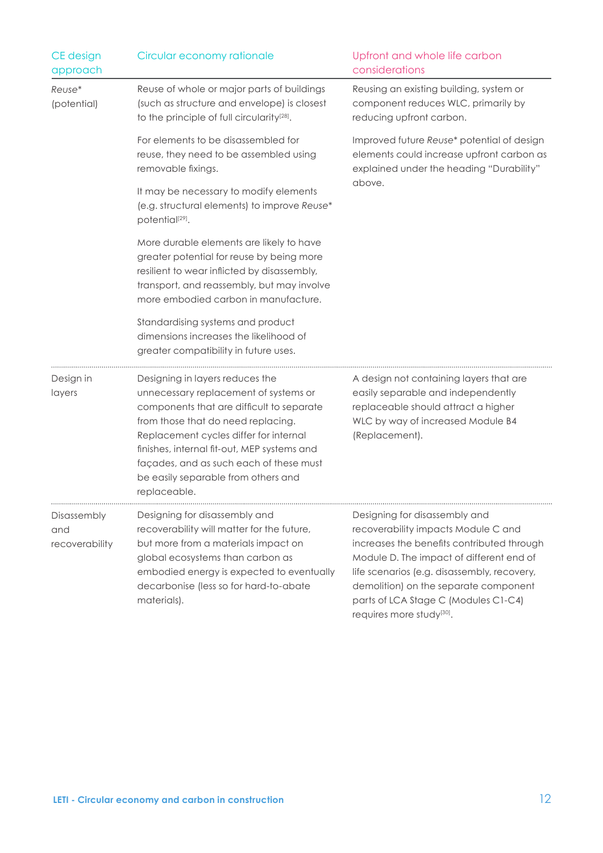| CE design<br>approach                | Circular economy rationale                                                                                                                                                                                                                                                                                                                             | Upfront and whole life carbon<br>considerations                                                                                                                                                                                                                                                                                         |
|--------------------------------------|--------------------------------------------------------------------------------------------------------------------------------------------------------------------------------------------------------------------------------------------------------------------------------------------------------------------------------------------------------|-----------------------------------------------------------------------------------------------------------------------------------------------------------------------------------------------------------------------------------------------------------------------------------------------------------------------------------------|
| Reuse*<br>(potential)                | Reuse of whole or major parts of buildings<br>(such as structure and envelope) is closest<br>to the principle of full circularity <sup>[28]</sup> .                                                                                                                                                                                                    | Reusing an existing building, system or<br>component reduces WLC, primarily by<br>reducing upfront carbon.                                                                                                                                                                                                                              |
|                                      | For elements to be disassembled for<br>reuse, they need to be assembled using<br>removable fixings.                                                                                                                                                                                                                                                    | Improved future Reuse* potential of design<br>elements could increase upfront carbon as<br>explained under the heading "Durability"                                                                                                                                                                                                     |
|                                      | It may be necessary to modify elements<br>(e.g. structural elements) to improve Reuse*<br>potential <sup>[29]</sup> .                                                                                                                                                                                                                                  | above.                                                                                                                                                                                                                                                                                                                                  |
|                                      | More durable elements are likely to have<br>greater potential for reuse by being more<br>resilient to wear inflicted by disassembly,<br>transport, and reassembly, but may involve<br>more embodied carbon in manufacture.                                                                                                                             |                                                                                                                                                                                                                                                                                                                                         |
|                                      | Standardising systems and product<br>dimensions increases the likelihood of<br>greater compatibility in future uses.                                                                                                                                                                                                                                   |                                                                                                                                                                                                                                                                                                                                         |
| Design in<br>layers                  | Designing in layers reduces the<br>unnecessary replacement of systems or<br>components that are difficult to separate<br>from those that do need replacing.<br>Replacement cycles differ for internal<br>finishes, internal fit-out, MEP systems and<br>façades, and as such each of these must<br>be easily separable from others and<br>replaceable. | A design not containing layers that are<br>easily separable and independently<br>replaceable should attract a higher<br>WLC by way of increased Module B4<br>(Replacement).                                                                                                                                                             |
| Disassembly<br>and<br>recoverability | Designing for disassembly and<br>recoverability will matter for the future,<br>but more from a materials impact on<br>global ecosystems than carbon as<br>embodied energy is expected to eventually<br>decarbonise (less so for hard-to-abate<br>materials).                                                                                           | Designing for disassembly and<br>recoverability impacts Module C and<br>increases the benefits contributed through<br>Module D. The impact of different end of<br>life scenarios (e.g. disassembly, recovery,<br>demolition) on the separate component<br>parts of LCA Stage C (Modules C1-C4)<br>requires more study <sup>[30]</sup> . |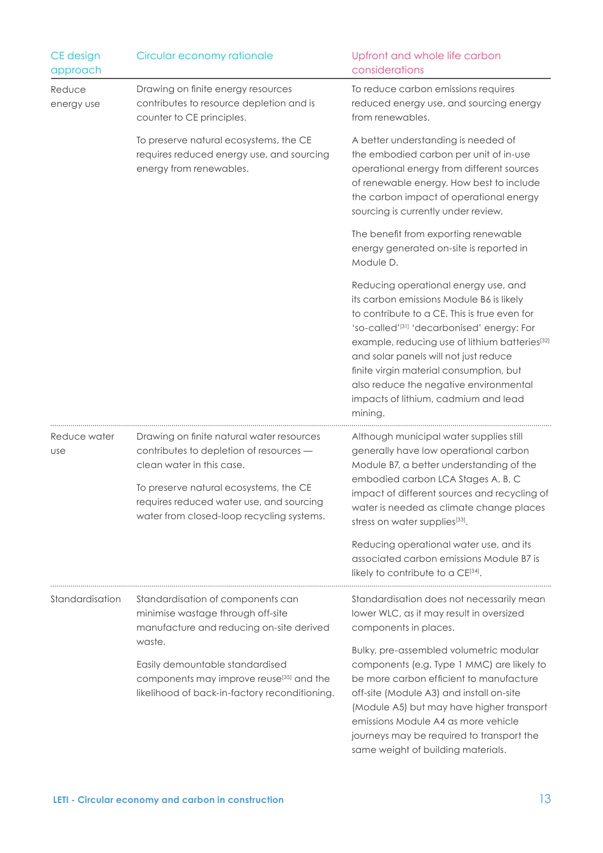| CE design<br>approach | Circular economy rationale                                                                                                                                                                                                                           | Upfront and whole life carbon<br>considerations                                                                                                                                                                                                                                                                                                                                                                             |
|-----------------------|------------------------------------------------------------------------------------------------------------------------------------------------------------------------------------------------------------------------------------------------------|-----------------------------------------------------------------------------------------------------------------------------------------------------------------------------------------------------------------------------------------------------------------------------------------------------------------------------------------------------------------------------------------------------------------------------|
| Reduce<br>energy use  | Drawing on finite energy resources<br>contributes to resource depletion and is<br>counter to CE principles.                                                                                                                                          | To reduce carbon emissions requires<br>reduced energy use, and sourcing energy<br>from renewables.                                                                                                                                                                                                                                                                                                                          |
|                       | To preserve natural ecosystems, the CE<br>requires reduced energy use, and sourcing<br>energy from renewables.                                                                                                                                       | A better understanding is needed of<br>the embodied carbon per unit of in-use<br>operational energy from different sources<br>of renewable energy. How best to include<br>the carbon impact of operational energy<br>sourcing is currently under review.                                                                                                                                                                    |
|                       |                                                                                                                                                                                                                                                      | The benefit from exporting renewable<br>energy generated on-site is reported in<br>Module D.                                                                                                                                                                                                                                                                                                                                |
|                       |                                                                                                                                                                                                                                                      | Reducing operational energy use, and<br>its carbon emissions Module B6 is likely<br>to contribute to a CE. This is true even for<br>'so-called'[31] 'decarbonised' energy: For<br>example, reducing use of lithium batteries[32]<br>and solar panels will not just reduce<br>finite virgin material consumption, but<br>also reduce the negative environmental<br>impacts of lithium, cadmium and lead<br>mining.           |
| Reduce water<br>use   | Drawing on finite natural water resources<br>contributes to depletion of resources -<br>clean water in this case.<br>To preserve natural ecosystems, the CE<br>requires reduced water use, and sourcing<br>water from closed-loop recycling systems. | Although municipal water supplies still<br>generally have low operational carbon<br>Module B7, a better understanding of the<br>embodied carbon LCA Stages A, B, C<br>impact of different sources and recycling of<br>water is needed as climate change places<br>stress on water supplies[33].<br>Reducing operational water use, and its<br>associated carbon emissions Module B7 is<br>likely to contribute to a CE[34]. |
| Standardisation       | Standardisation of components can<br>minimise wastage through off-site<br>manufacture and reducing on-site derived                                                                                                                                   | Standardisation does not necessarily mean<br>lower WLC, as it may result in oversized<br>components in places.                                                                                                                                                                                                                                                                                                              |
|                       | waste.<br>Easily demountable standardised<br>components may improve reuse <sup>[35]</sup> and the<br>likelihood of back-in-factory reconditioning.                                                                                                   | Bulky, pre-assembled volumetric modular<br>components (e.g. Type 1 MMC) are likely to<br>be more carbon efficient to manufacture<br>off-site (Module A3) and install on-site<br>(Module A5) but may have higher transport<br>emissions Module A4 as more vehicle<br>journeys may be required to transport the<br>same weight of building materials.                                                                         |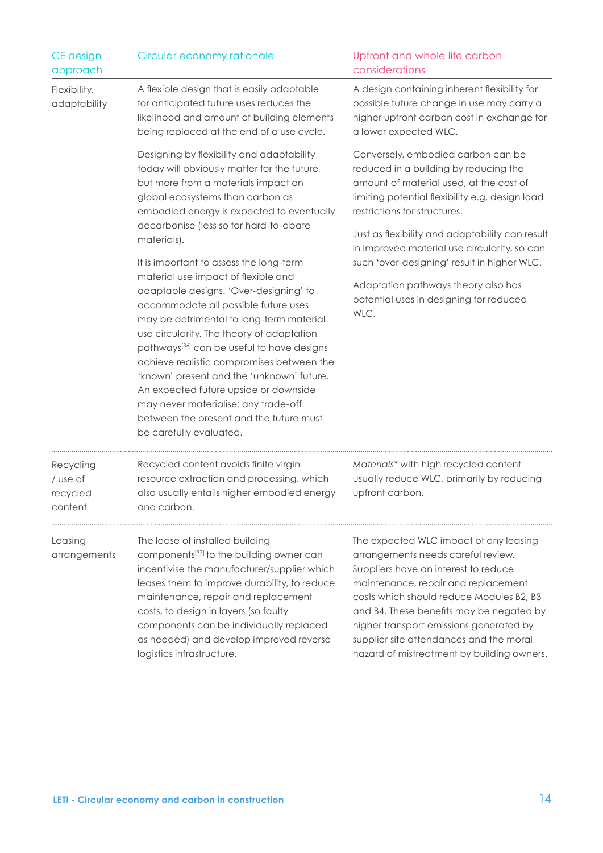| CE design<br>approach                        | Circular economy rationale                                                                                                                                                                                                                                                                                                                                                                                                                                                                                                                                           | Upfront and whole life carbon<br>considerations                                                                                                                                                                                                                                                                                                                                         |
|----------------------------------------------|----------------------------------------------------------------------------------------------------------------------------------------------------------------------------------------------------------------------------------------------------------------------------------------------------------------------------------------------------------------------------------------------------------------------------------------------------------------------------------------------------------------------------------------------------------------------|-----------------------------------------------------------------------------------------------------------------------------------------------------------------------------------------------------------------------------------------------------------------------------------------------------------------------------------------------------------------------------------------|
| Flexibility,<br>adaptability                 | A flexible design that is easily adaptable<br>for anticipated future uses reduces the<br>likelihood and amount of building elements<br>being replaced at the end of a use cycle.                                                                                                                                                                                                                                                                                                                                                                                     | A design containing inherent flexibility for<br>possible future change in use may carry a<br>higher upfront carbon cost in exchange for<br>a lower expected WLC.                                                                                                                                                                                                                        |
|                                              | Designing by flexibility and adaptability<br>today will obviously matter for the future,<br>but more from a materials impact on<br>global ecosystems than carbon as<br>embodied energy is expected to eventually<br>decarbonise (less so for hard-to-abate<br>materials).                                                                                                                                                                                                                                                                                            | Conversely, embodied carbon can be<br>reduced in a building by reducing the<br>amount of material used, at the cost of<br>limiting potential flexibility e.g. design load<br>restrictions for structures.<br>Just as flexibility and adaptability can result<br>in improved material use circularity, so can                                                                            |
|                                              | It is important to assess the long-term<br>material use impact of flexible and<br>adaptable designs. 'Over-designing' to<br>accommodate all possible future uses<br>may be detrimental to long-term material<br>use circularity. The theory of adaptation<br>pathways <sup>[36]</sup> can be useful to have designs<br>achieve realistic compromises between the<br>'known' present and the 'unknown' future.<br>An expected future upside or downside<br>may never materialise: any trade-off<br>between the present and the future must<br>be carefully evaluated. | such 'over-designing' result in higher WLC.<br>Adaptation pathways theory also has<br>potential uses in designing for reduced<br>WLC.                                                                                                                                                                                                                                                   |
| Recycling<br>/ use of<br>recycled<br>content | Recycled content avoids finite virgin<br>resource extraction and processing, which<br>also usually entails higher embodied energy<br>and carbon.                                                                                                                                                                                                                                                                                                                                                                                                                     | Materials* with high recycled content<br>usually reduce WLC, primarily by reducing<br>upfront carbon.                                                                                                                                                                                                                                                                                   |
| Leasing<br>arrangements                      | The lease of installed building<br>components <sup>[37]</sup> to the building owner can<br>incentivise the manufacturer/supplier which<br>leases them to improve durability, to reduce<br>maintenance, repair and replacement<br>costs, to design in layers (so faulty<br>components can be individually replaced<br>as needed) and develop improved reverse<br>logistics infrastructure.                                                                                                                                                                            | The expected WLC impact of any leasing<br>arrangements needs careful review.<br>Suppliers have an interest to reduce<br>maintenance, repair and replacement<br>costs which should reduce Modules B2, B3<br>and B4. These benefits may be negated by<br>higher transport emissions generated by<br>supplier site attendances and the moral<br>hazard of mistreatment by building owners. |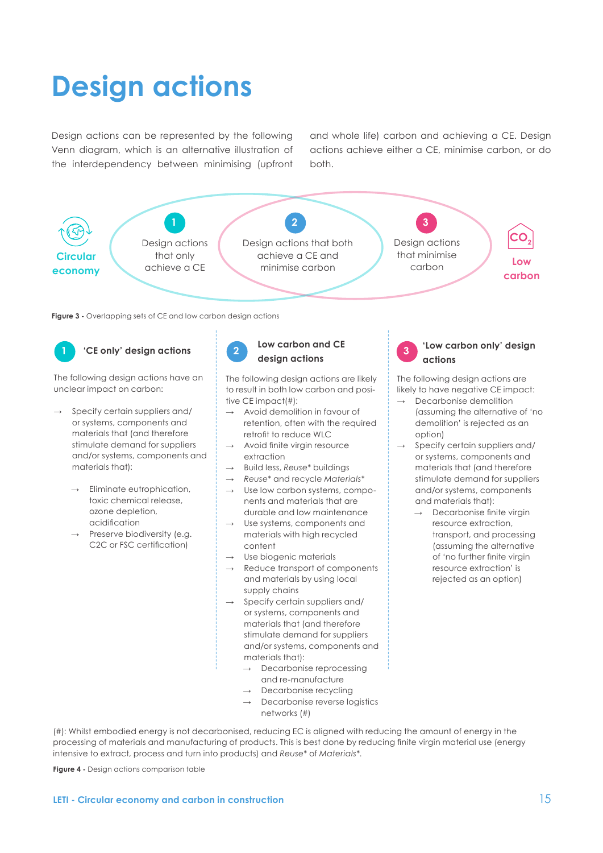# **Design actions**

Design actions can be represented by the following Venn diagram, which is an alternative illustration of the interdependency between minimising (upfront

and whole life) carbon and achieving a CE. Design actions achieve either a CE, minimise carbon, or do both.



**Figure 3 -** Overlapping sets of CE and low carbon design actions

## **'CE only' design actions Low carbon and CE 1 2 3**

The following design actions have an unclear impact on carbon:

- Specify certain suppliers and/ or systems, components and materials that (and therefore stimulate demand for suppliers and/or systems, components and materials that):
	- Eliminate eutrophication, toxic chemical release, ozone depletion, acidification
	- Preserve biodiversity (e.g. C2C or FSC certification)



## **design actions**

The following design actions are likely to result in both low carbon and positive CE impact(#):

- $\rightarrow$  Avoid demolition in favour of retention, often with the required retrofit to reduce WLC
- Avoid finite virgin resource extraction
- **Build less, Reuse\* buildings**
- → *Reuse\** and recycle *Materials\**
- $\rightarrow$  Use low carbon systems, components and materials that are durable and low maintenance
- Use systems, components and materials with high recycled content
- Use biogenic materials
- Reduce transport of components and materials by using local supply chains
- Specify certain suppliers and/ or systems, components and materials that (and therefore stimulate demand for suppliers and/or systems, components and materials that):
	- Decarbonise reprocessing and re-manufacture
	- Decarbonise recycling
	- Decarbonise reverse logistics networks (#)

(#): Whilst embodied energy is not decarbonised, reducing EC is aligned with reducing the amount of energy in the processing of materials and manufacturing of products. This is best done by reducing finite virgin material use (energy intensive to extract, process and turn into products) and *Reuse\** of *Materials\**.

**Figure 4 -** Design actions comparison table

### **'Low carbon only' design actions**

The following design actions are likely to have negative CE impact:

- Decarbonise demolition (assuming the alternative of 'no demolition' is rejected as an option)
- Specify certain suppliers and/ or systems, components and materials that (and therefore stimulate demand for suppliers and/or systems, components and materials that):
	- Decarbonise finite virgin resource extraction, transport, and processing (assuming the alternative of 'no further finite virgin resource extraction' is rejected as an option)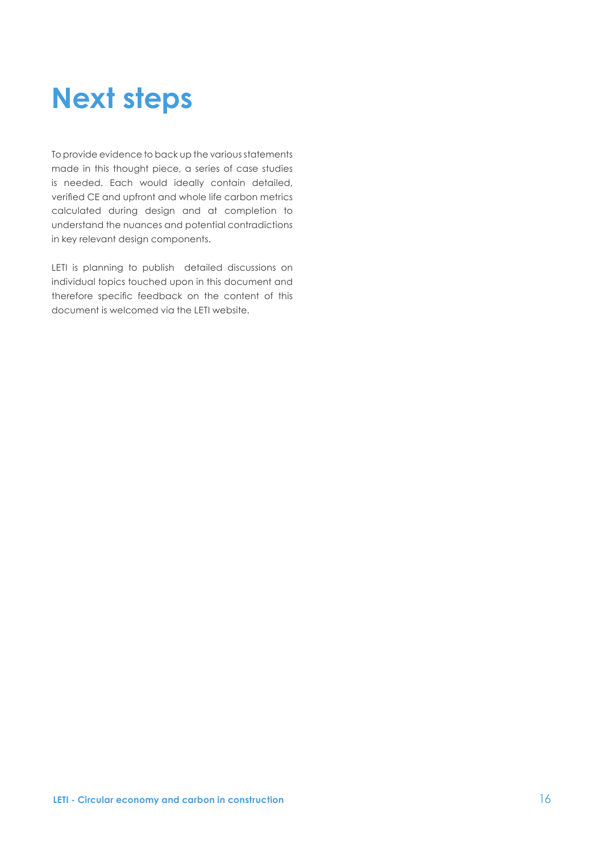## **Next steps**

To provide evidence to back up the various statements made in this thought piece, a series of case studies is needed. Each would ideally contain detailed, verified CE and upfront and whole life carbon metrics calculated during design and at completion to understand the nuances and potential contradictions in key relevant design components.

LETI is planning to publish detailed discussions on individual topics touched upon in this document and therefore specific feedback on the content of this document is welcomed via the LETI website.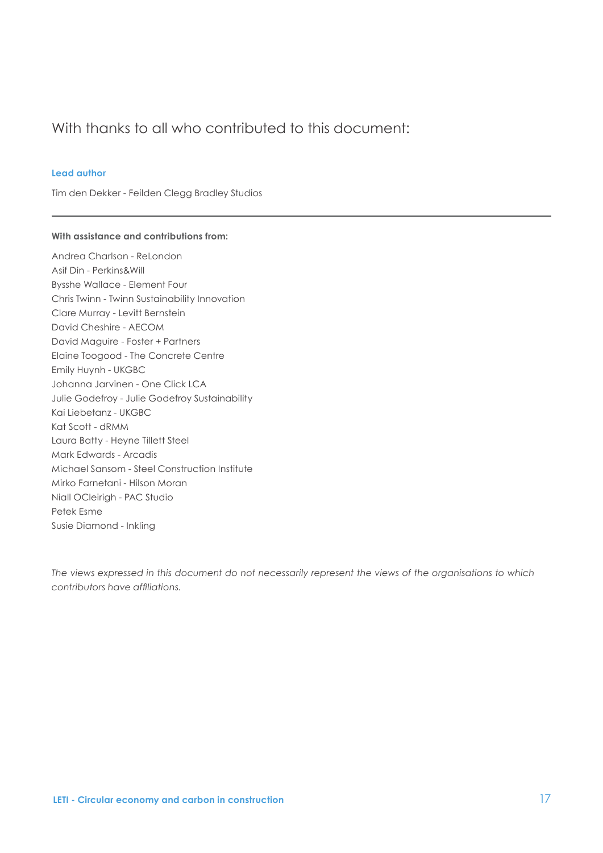### With thanks to all who contributed to this document:

#### **Lead author**

Tim den Dekker - Feilden Clegg Bradley Studios

#### **With assistance and contributions from:**

Andrea Charlson - ReLondon Asif Din - Perkins&Will Bysshe Wallace - Element Four Chris Twinn - Twinn Sustainability Innovation Clare Murray - Levitt Bernstein David Cheshire - AECOM David Maguire - Foster + Partners Elaine Toogood - The Concrete Centre Emily Huynh - UKGBC Johanna Jarvinen - One Click LCA Julie Godefroy - Julie Godefroy Sustainability Kai Liebetanz - UKGBC Kat Scott - dRMM Laura Batty - Heyne Tillett Steel Mark Edwards - Arcadis Michael Sansom - Steel Construction Institute Mirko Farnetani - Hilson Moran Niall OCleirigh - PAC Studio Petek Esme Susie Diamond - Inkling

*The views expressed in this document do not necessarily represent the views of the organisations to which contributors have affiliations.*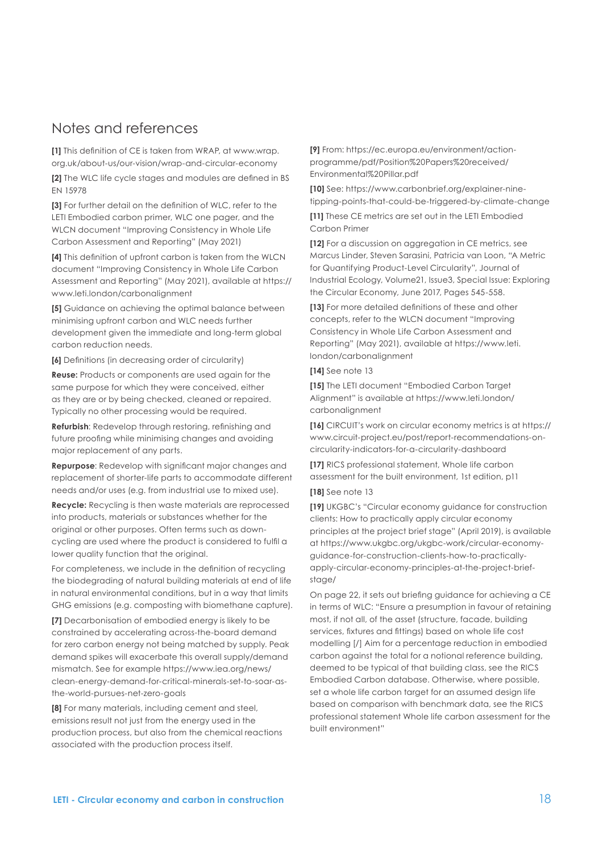### Notes and references

**[1]** This definition of CE is taken from WRAP, at www.wrap. org.uk/about-us/our-vision/wrap-and-circular-economy

**[2]** The WLC life cycle stages and modules are defined in BS EN 15978

**[3]** For further detail on the definition of WLC, refer to the LETI Embodied carbon primer, WLC one pager, and the WLCN document "Improving Consistency in Whole Life Carbon Assessment and Reporting" (May 2021)

**[4]** This definition of upfront carbon is taken from the WLCN document "Improving Consistency in Whole Life Carbon Assessment and Reporting" (May 2021), available at https:// www.leti.london/carbonalignment

**[5]** Guidance on achieving the optimal balance between minimising upfront carbon and WLC needs further development given the immediate and long-term global carbon reduction needs.

**[6]** Definitions (in decreasing order of circularity)

**Reuse:** Products or components are used again for the same purpose for which they were conceived, either as they are or by being checked, cleaned or repaired. Typically no other processing would be required.

**Refurbish**: Redevelop through restoring, refinishing and future proofing while minimising changes and avoiding major replacement of any parts.

**Repurpose**: Redevelop with significant major changes and replacement of shorter-life parts to accommodate different needs and/or uses (e.g. from industrial use to mixed use).

**Recycle:** Recycling is then waste materials are reprocessed into products, materials or substances whether for the original or other purposes. Often terms such as downcycling are used where the product is considered to fulfil a lower quality function that the original.

For completeness, we include in the definition of recycling the biodegrading of natural building materials at end of life in natural environmental conditions, but in a way that limits GHG emissions (e.g. composting with biomethane capture).

**[7]** Decarbonisation of embodied energy is likely to be constrained by accelerating across-the-board demand for zero carbon energy not being matched by supply. Peak demand spikes will exacerbate this overall supply/demand mismatch. See for example https://www.iea.org/news/ clean-energy-demand-for-critical-minerals-set-to-soar-asthe-world-pursues-net-zero-goals

**[8]** For many materials, including cement and steel, emissions result not just from the energy used in the production process, but also from the chemical reactions associated with the production process itself.

**[9]** From: https://ec.europa.eu/environment/actionprogramme/pdf/Position%20Papers%20received/ Environmental%20Pillar.pdf

**[10]** See: https://www.carbonbrief.org/explainer-ninetipping-points-that-could-be-triggered-by-climate-change

**[11]** These CE metrics are set out in the LETI Embodied Carbon Primer

**[12]** For a discussion on aggregation in CE metrics, see Marcus Linder, Steven Sarasini, Patricia van Loon, "A Metric for Quantifying Product-Level Circularity", Journal of Industrial Ecology, Volume21, Issue3, Special Issue: Exploring the Circular Economy, June 2017, Pages 545-558.

**[13]** For more detailed definitions of these and other concepts, refer to the WLCN document "Improving Consistency in Whole Life Carbon Assessment and Reporting" (May 2021), available at https://www.leti. london/carbonalignment

### **[14]** See note 13

**[15]** The LETI document "Embodied Carbon Target Alignment" is available at https://www.leti.london/ carbonalignment

**[16]** CIRCUIT's work on circular economy metrics is at https:// www.circuit-project.eu/post/report-recommendations-oncircularity-indicators-for-a-circularity-dashboard

**[17]** RICS professional statement, Whole life carbon assessment for the built environment, 1st edition, p11

### **[18]** See note 13

**[19]** UKGBC's "Circular economy guidance for construction clients: How to practically apply circular economy principles at the project brief stage" (April 2019), is available at https://www.ukgbc.org/ukgbc-work/circular-economyguidance-for-construction-clients-how-to-practicallyapply-circular-economy-principles-at-the-project-briefstage/

On page 22, it sets out briefing guidance for achieving a CE in terms of WLC: "Ensure a presumption in favour of retaining most, if not all, of the asset (structure, facade, building services, fixtures and fittings) based on whole life cost modelling [/] Aim for a percentage reduction in embodied carbon against the total for a notional reference building, deemed to be typical of that building class, see the RICS Embodied Carbon database. Otherwise, where possible, set a whole life carbon target for an assumed design life based on comparison with benchmark data, see the RICS professional statement Whole life carbon assessment for the built environment"